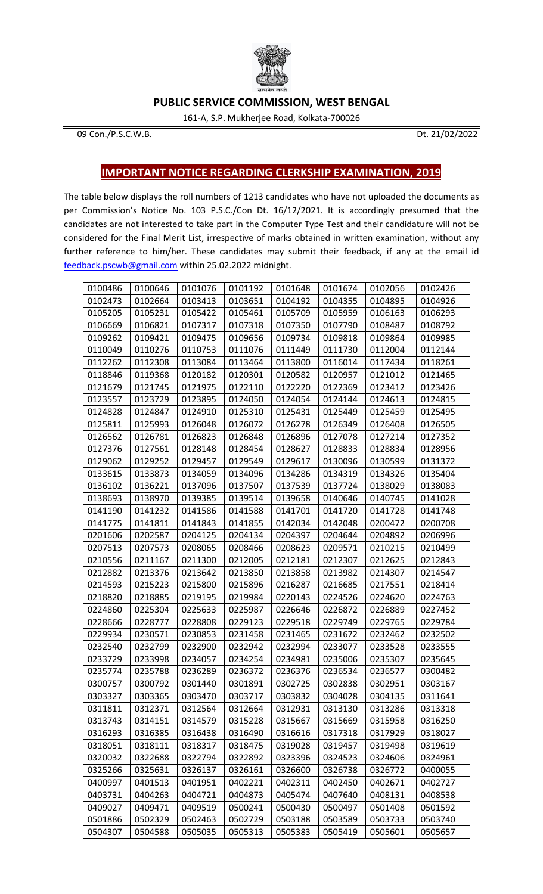

## **PUBLIC SERVICE COMMISSION, WEST BENGAL**

161-A, S.P. Mukherjee Road, Kolkata-700026

Con./P.S.C.W.B. Dt. 21/02/2022

## **IMPORTANT NOTICE REGARDING CLERKSHIP EXAMINATION, 2019**

The table below displays the roll numbers of 1213 candidates who have not uploaded the documents as per Commission's Notice No. 103 P.S.C./Con Dt. 16/12/2021. It is accordingly presumed that the candidates are not interested to take part in the Computer Type Test and their candidature will not be considered for the Final Merit List, irrespective of marks obtained in written examination, without any further reference to him/her. These candidates may submit their feedback, if any at the email id [feedback.pscwb@gmail.com](mailto:feedback.pscwb@gmail.com) within 25.02.2022 midnight.

| 0100486 | 0100646 | 0101076 | 0101192 | 0101648 | 0101674 | 0102056 | 0102426 |
|---------|---------|---------|---------|---------|---------|---------|---------|
| 0102473 | 0102664 | 0103413 | 0103651 | 0104192 | 0104355 | 0104895 | 0104926 |
| 0105205 | 0105231 | 0105422 | 0105461 | 0105709 | 0105959 | 0106163 | 0106293 |
| 0106669 | 0106821 | 0107317 | 0107318 | 0107350 | 0107790 | 0108487 | 0108792 |
| 0109262 | 0109421 | 0109475 | 0109656 | 0109734 | 0109818 | 0109864 | 0109985 |
| 0110049 | 0110276 | 0110753 | 0111076 | 0111449 | 0111730 | 0112004 | 0112144 |
| 0112262 | 0112308 | 0113084 | 0113464 | 0113800 | 0116014 | 0117434 | 0118261 |
| 0118846 | 0119368 | 0120182 | 0120301 | 0120582 | 0120957 | 0121012 | 0121465 |
| 0121679 | 0121745 | 0121975 | 0122110 | 0122220 | 0122369 | 0123412 | 0123426 |
| 0123557 | 0123729 | 0123895 | 0124050 | 0124054 | 0124144 | 0124613 | 0124815 |
| 0124828 | 0124847 | 0124910 | 0125310 | 0125431 | 0125449 | 0125459 | 0125495 |
| 0125811 | 0125993 | 0126048 | 0126072 | 0126278 | 0126349 | 0126408 | 0126505 |
| 0126562 | 0126781 | 0126823 | 0126848 | 0126896 | 0127078 | 0127214 | 0127352 |
| 0127376 | 0127561 | 0128148 | 0128454 | 0128627 | 0128833 | 0128834 | 0128956 |
| 0129062 | 0129252 | 0129457 | 0129549 | 0129617 | 0130096 | 0130599 | 0131372 |
| 0133615 | 0133873 | 0134059 | 0134096 | 0134286 | 0134319 | 0134326 | 0135404 |
| 0136102 | 0136221 | 0137096 | 0137507 | 0137539 | 0137724 | 0138029 | 0138083 |
| 0138693 | 0138970 | 0139385 | 0139514 | 0139658 | 0140646 | 0140745 | 0141028 |
| 0141190 | 0141232 | 0141586 | 0141588 | 0141701 | 0141720 | 0141728 | 0141748 |
| 0141775 | 0141811 | 0141843 | 0141855 | 0142034 | 0142048 | 0200472 | 0200708 |
| 0201606 | 0202587 | 0204125 | 0204134 | 0204397 | 0204644 | 0204892 | 0206996 |
| 0207513 | 0207573 | 0208065 | 0208466 | 0208623 | 0209571 | 0210215 | 0210499 |
| 0210556 | 0211167 | 0211300 | 0212005 | 0212181 | 0212307 | 0212625 | 0212843 |
| 0212882 | 0213376 | 0213642 | 0213850 | 0213858 | 0213982 | 0214307 | 0214547 |
| 0214593 | 0215223 | 0215800 | 0215896 | 0216287 | 0216685 | 0217551 | 0218414 |
| 0218820 | 0218885 | 0219195 | 0219984 | 0220143 | 0224526 | 0224620 | 0224763 |
| 0224860 | 0225304 | 0225633 | 0225987 | 0226646 | 0226872 | 0226889 | 0227452 |
| 0228666 | 0228777 | 0228808 | 0229123 | 0229518 | 0229749 | 0229765 | 0229784 |
| 0229934 | 0230571 | 0230853 | 0231458 | 0231465 | 0231672 | 0232462 | 0232502 |
| 0232540 | 0232799 | 0232900 | 0232942 | 0232994 | 0233077 | 0233528 | 0233555 |
| 0233729 | 0233998 | 0234057 | 0234254 | 0234981 | 0235006 | 0235307 | 0235645 |
| 0235774 | 0235788 | 0236289 | 0236372 | 0236376 | 0236534 | 0236577 | 0300482 |
| 0300757 | 0300792 | 0301440 | 0301891 | 0302725 | 0302838 | 0302951 | 0303167 |
| 0303327 | 0303365 | 0303470 | 0303717 | 0303832 | 0304028 | 0304135 | 0311641 |
| 0311811 | 0312371 | 0312564 | 0312664 | 0312931 | 0313130 | 0313286 | 0313318 |
| 0313743 | 0314151 | 0314579 | 0315228 | 0315667 | 0315669 | 0315958 | 0316250 |
| 0316293 | 0316385 | 0316438 | 0316490 | 0316616 | 0317318 | 0317929 | 0318027 |
| 0318051 | 0318111 | 0318317 | 0318475 | 0319028 | 0319457 | 0319498 | 0319619 |
| 0320032 | 0322688 | 0322794 | 0322892 | 0323396 | 0324523 | 0324606 | 0324961 |
| 0325266 | 0325631 | 0326137 | 0326161 | 0326600 | 0326738 | 0326772 | 0400055 |
| 0400997 | 0401513 | 0401951 | 0402221 | 0402311 | 0402450 | 0402671 | 0402727 |
| 0403731 | 0404263 | 0404721 | 0404873 | 0405474 | 0407640 | 0408131 | 0408538 |
| 0409027 | 0409471 | 0409519 | 0500241 | 0500430 | 0500497 | 0501408 | 0501592 |
| 0501886 | 0502329 | 0502463 | 0502729 | 0503188 | 0503589 | 0503733 | 0503740 |
| 0504307 | 0504588 | 0505035 | 0505313 | 0505383 | 0505419 | 0505601 | 0505657 |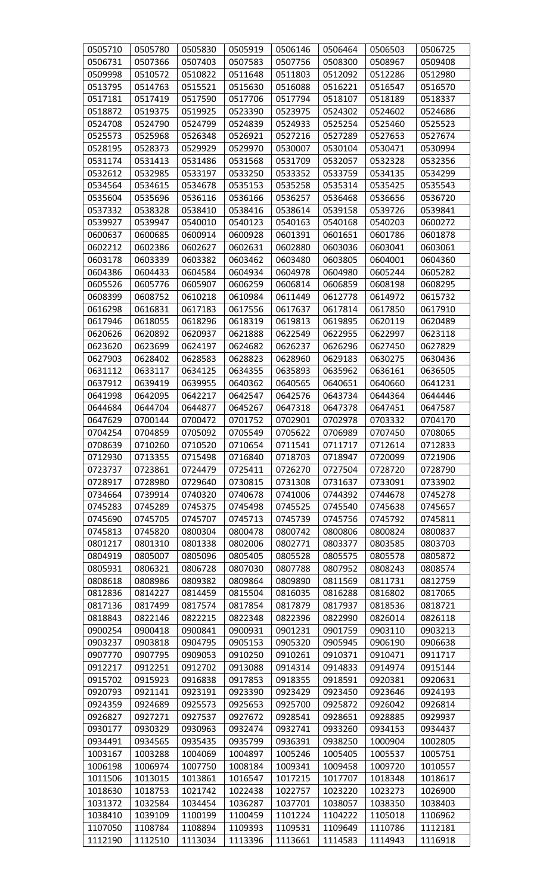| 0505710 | 0505780 | 0505830 | 0505919 | 0506146 | 0506464 | 0506503                                                                       | 0506725 |
|---------|---------|---------|---------|---------|---------|-------------------------------------------------------------------------------|---------|
| 0506731 | 0507366 | 0507403 | 0507583 | 0507756 | 0508300 | 0508967                                                                       | 0509408 |
| 0509998 | 0510572 | 0510822 | 0511648 | 0511803 | 0512092 | 0512286                                                                       | 0512980 |
| 0513795 | 0514763 | 0515521 | 0515630 | 0516088 | 0516221 | 0516547                                                                       | 0516570 |
| 0517181 | 0517419 | 0517590 | 0517706 | 0517794 | 0518107 | 0518189                                                                       | 0518337 |
| 0518872 | 0519375 | 0519925 | 0523390 | 0523975 | 0524302 | 0524602                                                                       | 0524686 |
| 0524708 | 0524790 | 0524799 | 0524839 | 0524933 | 0525254 | 0525460                                                                       | 0525523 |
| 0525573 | 0525968 | 0526348 | 0526921 | 0527216 | 0527289 | 0527653                                                                       | 0527674 |
| 0528195 | 0528373 | 0529929 | 0529970 | 0530007 | 0530104 | 0530471                                                                       | 0530994 |
| 0531174 | 0531413 | 0531486 | 0531568 | 0531709 | 0532057 | 0532328                                                                       | 0532356 |
| 0532612 | 0532985 | 0533197 | 0533250 | 0533352 | 0533759 | 0534135                                                                       | 0534299 |
| 0534564 | 0534615 | 0534678 | 0535153 | 0535258 | 0535314 | 0535425                                                                       | 0535543 |
| 0535604 | 0535696 | 0536116 | 0536166 | 0536257 | 0536468 | 0536656                                                                       | 0536720 |
| 0537332 | 0538328 | 0538410 | 0538416 | 0538614 | 0539158 | 0539726                                                                       | 0539841 |
| 0539927 | 0539947 | 0540010 | 0540123 | 0540163 | 0540168 | 0540203                                                                       | 0600272 |
| 0600637 | 0600685 | 0600914 | 0600928 | 0601391 | 0601651 | 0601786                                                                       | 0601878 |
| 0602212 | 0602386 | 0602627 | 0602631 | 0602880 | 0603036 | 0603041                                                                       | 0603061 |
| 0603178 | 0603339 | 0603382 | 0603462 | 0603480 | 0603805 | 0604001                                                                       | 0604360 |
| 0604386 | 0604433 | 0604584 | 0604934 | 0604978 | 0604980 | 0605244                                                                       | 0605282 |
| 0605526 | 0605776 | 0605907 | 0606259 | 0606814 | 0606859 | 0608198                                                                       | 0608295 |
| 0608399 | 0608752 | 0610218 | 0610984 | 0611449 | 0612778 | 0614972                                                                       | 0615732 |
| 0616298 | 0616831 | 0617183 | 0617556 | 0617637 | 0617814 | 0617850                                                                       | 0617910 |
| 0617946 | 0618055 | 0618296 | 0618319 | 0619813 | 0619895 | 0620119                                                                       | 0620489 |
| 0620626 | 0620892 | 0620937 | 0621888 | 0622549 | 0622955 | 0622997                                                                       | 0623118 |
| 0623620 | 0623699 | 0624197 | 0624682 | 0626237 | 0626296 | 0627450                                                                       | 0627829 |
| 0627903 | 0628402 | 0628583 | 0628823 | 0628960 | 0629183 | 0630275                                                                       | 0630436 |
| 0631112 | 0633117 | 0634125 | 0634355 | 0635893 | 0635962 | 0636161                                                                       | 0636505 |
| 0637912 | 0639419 | 0639955 | 0640362 | 0640565 | 0640651 | 0640660                                                                       | 0641231 |
| 0641998 | 0642095 | 0642217 | 0642547 | 0642576 | 0643734 | 0644364                                                                       | 0644446 |
| 0644684 | 0644704 | 0644877 | 0645267 | 0647318 | 0647378 | 0647451                                                                       | 0647587 |
| 0647629 | 0700144 | 0700472 | 0701752 | 0702901 | 0702978 | 0703332                                                                       | 0704170 |
| 0704254 | 0704859 | 0705092 | 0705549 | 0705622 | 0706989 | 0707450                                                                       | 0708065 |
| 0708639 | 0710260 | 0710520 | 0710654 | 0711541 | 0711717 | 0712614                                                                       | 0712833 |
| 0712930 | 0713355 | 0715498 | 0716840 | 0718703 | 0718947 | 0720099                                                                       | 0721906 |
| 0723737 | 0723861 | 0724479 | 0725411 | 0726270 | 0727504 | 0728720                                                                       | 0728790 |
| 0728917 | 0728980 | 0729640 | 0730815 | 0731308 | 0731637 | 0733091                                                                       | 0733902 |
| 0734664 | 0739914 | 0740320 | 0740678 | 0741006 | 0744392 | 0744678                                                                       | 0745278 |
| 0745283 | 0745289 | 0745375 | 0745498 | 0745525 | 0745540 | 0745638                                                                       | 0745657 |
| 0745690 | 0745705 | 0745707 | 0745713 | 0745739 | 0745756 | 0745792                                                                       | 0745811 |
| 0745813 | 0745820 | 0800304 | 0800478 | 0800742 | 0800806 | 0800824                                                                       | 0800837 |
| 0801217 | 0801310 | 0801338 | 0802006 | 0802771 | 0803377 | 0803585                                                                       | 0803703 |
| 0804919 | 0805007 | 0805096 | 0805405 | 0805528 | 0805575 | 0805578                                                                       | 0805872 |
| 0805931 | 0806321 | 0806728 | 0807030 | 0807788 | 0807952 | 0808243                                                                       | 0808574 |
| 0808618 | 0808986 | 0809382 | 0809864 | 0809890 | 0811569 | 0811731                                                                       | 0812759 |
| 0812836 | 0814227 | 0814459 | 0815504 | 0816035 | 0816288 | 0816802                                                                       | 0817065 |
| 0817136 | 0817499 | 0817574 | 0817854 | 0817879 | 0817937 | 0818536                                                                       | 0818721 |
| 0818843 | 0822146 | 0822215 | 0822348 | 0822396 | 0822990 | 0826014                                                                       | 0826118 |
| 0900254 | 0900418 | 0900841 | 0900931 | 0901231 | 0901759 | 0903110                                                                       | 0903213 |
| 0903237 | 0903818 | 0904795 | 0905153 | 0905320 | 0905945 | 0906190                                                                       | 0906638 |
| 0907770 | 0907795 | 0909053 | 0910250 | 0910261 | 0910371 | 0910471                                                                       | 0911717 |
| 0912217 | 0912251 | 0912702 | 0913088 | 0914314 | 0914833 | 0914974                                                                       | 0915144 |
| 0915702 | 0915923 | 0916838 | 0917853 | 0918355 | 0918591 | 0920381                                                                       | 0920631 |
| 0920793 | 0921141 | 0923191 | 0923390 | 0923429 | 0923450 | 0923646                                                                       | 0924193 |
| 0924359 | 0924689 | 0925573 | 0925653 | 0925700 | 0925872 | 0926042                                                                       | 0926814 |
| 0926827 | 0927271 | 0927537 | 0927672 | 0928541 | 0928651 | 0928885                                                                       | 0929937 |
| 0930177 | 0930329 | 0930963 | 0932474 | 0932741 | 0933260 | 0934153                                                                       | 0934437 |
| 0934491 | 0934565 | 0935435 | 0935799 | 0936391 | 0938250 | 1000904                                                                       | 1002805 |
| 1003167 | 1003288 | 1004069 | 1004897 | 1005246 | 1005405 | 1005537                                                                       | 1005751 |
| 1006198 | 1006974 | 1007750 | 1008184 | 1009341 | 1009458 | 1009720                                                                       | 1010557 |
| 1011506 | 1013015 | 1013861 | 1016547 | 1017215 | 1017707 | 1018348                                                                       | 1018617 |
| 1018630 | 1018753 | 1021742 | 1022438 | 1022757 | 1023220 | 1023273                                                                       | 1026900 |
| 1031372 | 1032584 | 1034454 | 1036287 | 1037701 | 1038057 | 1038350                                                                       | 1038403 |
| 1038410 | 1039109 | 1100199 | 1100459 | 1101224 | 1104222 | 1105018                                                                       | 1106962 |
| 1107050 | 1108784 | 1108894 | 1109393 | 1109531 | 1109649 | 1110786                                                                       | 1112181 |
|         |         |         |         |         |         | 1112190   1112510   1113034   1113396   1113661   1114583   1114943   1116918 |         |